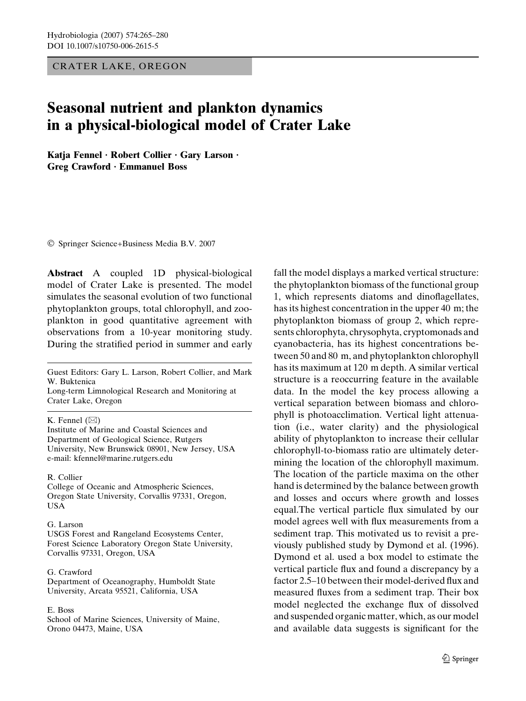CRATER LAKE, OREGON

# Seasonal nutrient and plankton dynamics in a physical-biological model of Crater Lake

Katja Fennel · Robert Collier · Gary Larson · Greg Crawford · Emmanuel Boss

Springer Science+Business Media B.V. 2007

Abstract A coupled 1D physical-biological model of Crater Lake is presented. The model simulates the seasonal evolution of two functional phytoplankton groups, total chlorophyll, and zooplankton in good quantitative agreement with observations from a 10-year monitoring study. During the stratified period in summer and early

Guest Editors: Gary L. Larson, Robert Collier, and Mark W. Buktenica

Long-term Limnological Research and Monitoring at Crater Lake, Oregon

K. Fennel  $(\boxtimes)$ 

Institute of Marine and Coastal Sciences and Department of Geological Science, Rutgers University, New Brunswick 08901, New Jersey, USA e-mail: kfennel@marine.rutgers.edu

## R. Collier

College of Oceanic and Atmospheric Sciences, Oregon State University, Corvallis 97331, Oregon, USA

## G. Larson

USGS Forest and Rangeland Ecosystems Center, Forest Science Laboratory Oregon State University, Corvallis 97331, Oregon, USA

## G. Crawford

Department of Oceanography, Humboldt State University, Arcata 95521, California, USA

#### E. Boss

School of Marine Sciences, University of Maine, Orono 04473, Maine, USA

fall the model displays a marked vertical structure: the phytoplankton biomass of the functional group 1, which represents diatoms and dinoflagellates, has its highest concentration in the upper 40 m; the phytoplankton biomass of group 2, which represents chlorophyta, chrysophyta, cryptomonads and cyanobacteria, has its highest concentrations between 50 and 80 m, and phytoplankton chlorophyll has its maximum at 120 m depth. A similar vertical structure is a reoccurring feature in the available data. In the model the key process allowing a vertical separation between biomass and chlorophyll is photoacclimation. Vertical light attenuation (i.e., water clarity) and the physiological ability of phytoplankton to increase their cellular chlorophyll-to-biomass ratio are ultimately determining the location of the chlorophyll maximum. The location of the particle maxima on the other hand is determined by the balance between growth and losses and occurs where growth and losses equal.The vertical particle flux simulated by our model agrees well with flux measurements from a sediment trap. This motivated us to revisit a previously published study by Dymond et al. (1996). Dymond et al. used a box model to estimate the vertical particle flux and found a discrepancy by a factor 2.5–10 between their model-derived flux and measured fluxes from a sediment trap. Their box model neglected the exchange flux of dissolved and suspended organic matter, which, as our model and available data suggests is significant for the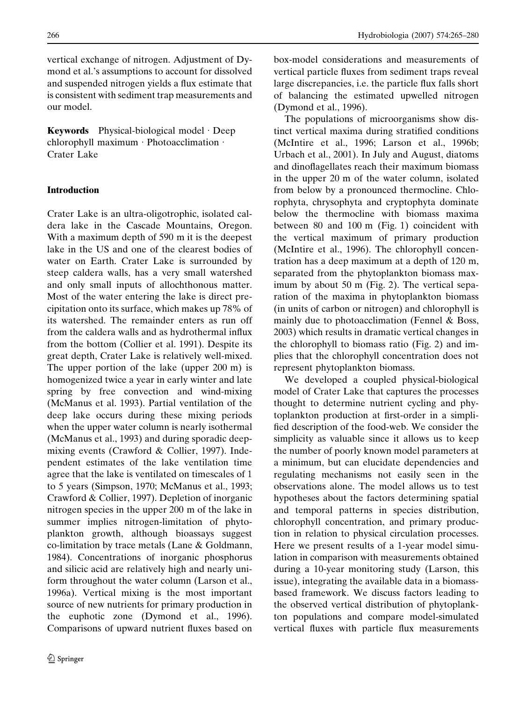vertical exchange of nitrogen. Adjustment of Dymond et al.'s assumptions to account for dissolved and suspended nitrogen yields a flux estimate that is consistent with sediment trap measurements and our model.

Keywords Physical-biological model  $\cdot$  Deep chlorophyll maximum  $\cdot$  Photoacclimation  $\cdot$ Crater Lake

# Introduction

Crater Lake is an ultra-oligotrophic, isolated caldera lake in the Cascade Mountains, Oregon. With a maximum depth of 590 m it is the deepest lake in the US and one of the clearest bodies of water on Earth. Crater Lake is surrounded by steep caldera walls, has a very small watershed and only small inputs of allochthonous matter. Most of the water entering the lake is direct precipitation onto its surface, which makes up 78% of its watershed. The remainder enters as run off from the caldera walls and as hydrothermal influx from the bottom (Collier et al. 1991). Despite its great depth, Crater Lake is relatively well-mixed. The upper portion of the lake (upper 200 m) is homogenized twice a year in early winter and late spring by free convection and wind-mixing (McManus et al. 1993). Partial ventilation of the deep lake occurs during these mixing periods when the upper water column is nearly isothermal (McManus et al., 1993) and during sporadic deepmixing events (Crawford & Collier, 1997). Independent estimates of the lake ventilation time agree that the lake is ventilated on timescales of 1 to 5 years (Simpson, 1970; McManus et al., 1993; Crawford & Collier, 1997). Depletion of inorganic nitrogen species in the upper 200 m of the lake in summer implies nitrogen-limitation of phytoplankton growth, although bioassays suggest co-limitation by trace metals (Lane & Goldmann, 1984). Concentrations of inorganic phosphorus and silicic acid are relatively high and nearly uniform throughout the water column (Larson et al., 1996a). Vertical mixing is the most important source of new nutrients for primary production in the euphotic zone (Dymond et al., 1996). Comparisons of upward nutrient fluxes based on

box-model considerations and measurements of vertical particle fluxes from sediment traps reveal large discrepancies, i.e. the particle flux falls short of balancing the estimated upwelled nitrogen (Dymond et al., 1996).

The populations of microorganisms show distinct vertical maxima during stratified conditions (McIntire et al., 1996; Larson et al., 1996b; Urbach et al., 2001). In July and August, diatoms and dinoflagellates reach their maximum biomass in the upper 20 m of the water column, isolated from below by a pronounced thermocline. Chlorophyta, chrysophyta and cryptophyta dominate below the thermocline with biomass maxima between 80 and 100 m (Fig. 1) coincident with the vertical maximum of primary production (McIntire et al., 1996). The chlorophyll concentration has a deep maximum at a depth of 120 m, separated from the phytoplankton biomass maximum by about 50 m (Fig. 2). The vertical separation of the maxima in phytoplankton biomass (in units of carbon or nitrogen) and chlorophyll is mainly due to photoacclimation (Fennel & Boss, 2003) which results in dramatic vertical changes in the chlorophyll to biomass ratio (Fig. 2) and implies that the chlorophyll concentration does not represent phytoplankton biomass.

We developed a coupled physical-biological model of Crater Lake that captures the processes thought to determine nutrient cycling and phytoplankton production at first-order in a simplified description of the food-web. We consider the simplicity as valuable since it allows us to keep the number of poorly known model parameters at a minimum, but can elucidate dependencies and regulating mechanisms not easily seen in the observations alone. The model allows us to test hypotheses about the factors determining spatial and temporal patterns in species distribution, chlorophyll concentration, and primary production in relation to physical circulation processes. Here we present results of a 1-year model simulation in comparison with measurements obtained during a 10-year monitoring study (Larson, this issue), integrating the available data in a biomassbased framework. We discuss factors leading to the observed vertical distribution of phytoplankton populations and compare model-simulated vertical fluxes with particle flux measurements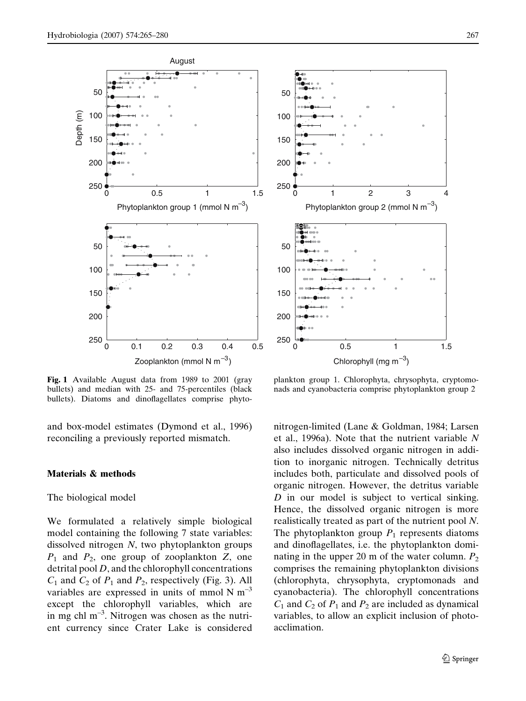

Fig. 1 Available August data from 1989 to 2001 (gray bullets) and median with 25- and 75-percentiles (black bullets). Diatoms and dinoflagellates comprise phyto-

and box-model estimates (Dymond et al., 1996) reconciling a previously reported mismatch.

#### Materials & methods

The biological model

We formulated a relatively simple biological model containing the following 7 state variables: dissolved nitrogen N, two phytoplankton groups  $P_1$  and  $P_2$ , one group of zooplankton Z, one detrital pool  $D$ , and the chlorophyll concentrations  $C_1$  and  $C_2$  of  $P_1$  and  $P_2$ , respectively (Fig. 3). All variables are expressed in units of mmol N  $m^{-3}$ except the chlorophyll variables, which are in mg chl  $m<sup>-3</sup>$ . Nitrogen was chosen as the nutrient currency since Crater Lake is considered



plankton group 1. Chlorophyta, chrysophyta, cryptomonads and cyanobacteria comprise phytoplankton group 2

nitrogen-limited (Lane & Goldman, 1984; Larsen et al., 1996a). Note that the nutrient variable  $N$ also includes dissolved organic nitrogen in addition to inorganic nitrogen. Technically detritus includes both, particulate and dissolved pools of organic nitrogen. However, the detritus variable D in our model is subject to vertical sinking. Hence, the dissolved organic nitrogen is more realistically treated as part of the nutrient pool N. The phytoplankton group  $P_1$  represents diatoms and dinoflagellates, i.e. the phytoplankton dominating in the upper 20 m of the water column.  $P_2$ comprises the remaining phytoplankton divisions (chlorophyta, chrysophyta, cryptomonads and cyanobacteria). The chlorophyll concentrations  $C_1$  and  $C_2$  of  $P_1$  and  $P_2$  are included as dynamical variables, to allow an explicit inclusion of photoacclimation.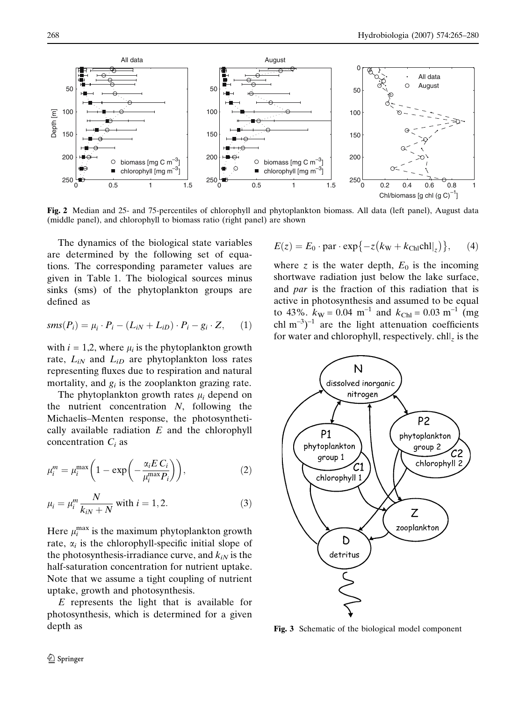

Fig. 2 Median and 25- and 75-percentiles of chlorophyll and phytoplankton biomass. All data (left panel), August data (middle panel), and chlorophyll to biomass ratio (right panel) are shown

The dynamics of the biological state variables are determined by the following set of equations. The corresponding parameter values are given in Table 1. The biological sources minus sinks (sms) of the phytoplankton groups are defined as

$$
sms(P_i) = \mu_i \cdot P_i - (L_{iN} + L_{iD}) \cdot P_i - g_i \cdot Z, \qquad (1)
$$

with  $i = 1,2$ , where  $\mu_i$  is the phytoplankton growth rate,  $L_{iN}$  and  $L_{iD}$  are phytoplankton loss rates representing fluxes due to respiration and natural mortality, and  $g_i$  is the zooplankton grazing rate.

The phytoplankton growth rates  $\mu_i$  depend on the nutrient concentration  $N$ , following the Michaelis–Menten response, the photosynthetically available radiation  $E$  and the chlorophyll concentration  $C_i$  as

$$
\mu_i^m = \mu_i^{\max} \bigg( 1 - \exp \bigg( - \frac{\alpha_i E C_i}{\mu_i^{\max} P_i} \bigg) \bigg),\tag{2}
$$

$$
\mu_i = \mu_i^m \frac{N}{k_{iN} + N} \text{ with } i = 1, 2. \tag{3}
$$

Here  $\mu_i^{\max}$  is the maximum phytoplankton growth rate,  $\alpha_i$  is the chlorophyll-specific initial slope of the photosynthesis-irradiance curve, and  $k_{iN}$  is the half-saturation concentration for nutrient uptake. Note that we assume a tight coupling of nutrient uptake, growth and photosynthesis.

E represents the light that is available for photosynthesis, which is determined for a given depth as

$$
E(z) = E_0 \cdot \text{par} \cdot \exp\{-z(k_{\rm W} + k_{\rm Chl} \text{chl}|_z)\},\qquad(4)
$$

where z is the water depth,  $E_0$  is the incoming shortwave radiation just below the lake surface, and par is the fraction of this radiation that is active in photosynthesis and assumed to be equal to 43%.  $k_W = 0.04$  m<sup>-1</sup> and  $k_{Chl} = 0.03$  m<sup>-1</sup> (mg chl m<sup>-3</sup>)<sup>-1</sup> are the light attenuation coefficients for water and chlorophyll, respectively. chl $\vert z \rangle$  is the



Fig. 3 Schematic of the biological model component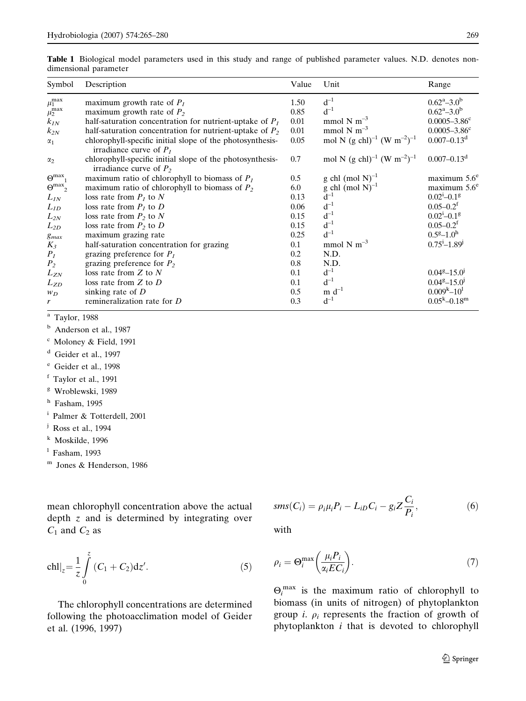Table 1 Biological model parameters used in this study and range of published parameter values. N.D. denotes nondimensional parameter

| Symbol                               | Description                                                                            | Value | Unit                                                           | Range                                   |
|--------------------------------------|----------------------------------------------------------------------------------------|-------|----------------------------------------------------------------|-----------------------------------------|
| $\mu_1^{\rm max}$                    | maximum growth rate of $P_1$                                                           | 1.50  | $d^{-1}$                                                       | $0.62^{\rm a} - 3.0^{\rm b}$            |
| $\mu_2^{\max}$                       | maximum growth rate of $P_2$                                                           | 0.85  | $d^{-1}$                                                       | $0.62^{\rm a} - 3.0^{\rm b}$            |
| $k_{IN}$                             | half-saturation concentration for nutrient-uptake of $P_1$                             | 0.01  | mmol $N \text{ m}^{-3}$                                        | $0.0005 - 3.86$ <sup>c</sup>            |
| $k_{2N}$                             | half-saturation concentration for nutrient-uptake of $P_2$                             | 0.01  | mmol N $m^{-3}$                                                | $0.0005 - 3.86$ <sup>c</sup>            |
| $\alpha_1$                           | chlorophyll-specific initial slope of the photosynthesis-<br>irradiance curve of $P_1$ | 0.05  | mol N (g chl) <sup>-1</sup> (W m <sup>-2</sup> ) <sup>-1</sup> | $0.007 - 0.13$ <sup>d</sup>             |
| $\alpha_2$                           | chlorophyll-specific initial slope of the photosynthesis-<br>irradiance curve of $P_2$ | 0.7   | mol N (g chl) <sup>-1</sup> (W m <sup>-2</sup> ) <sup>-1</sup> | $0.007 - 0.13$ <sup>d</sup>             |
| $\Theta$ <sup>max</sup> <sub>1</sub> | maximum ratio of chlorophyll to biomass of $P_1$                                       | 0.5   | g chl $(mol N)^{-1}$                                           | maximum $5.6^{\circ}$                   |
| $\Theta$ <sup>max</sup> <sub>2</sub> | maximum ratio of chlorophyll to biomass of $P_2$                                       | 6.0   | g chl (mol $N$ ) <sup>-1</sup>                                 | maximum $5.6^{\circ}$                   |
| $L_{1N}$                             | loss rate from $P_1$ to N                                                              | 0.13  | $\mathrm{d}^{-1}$                                              | $0.02^{i}-0.1^{g}$                      |
| $L_{1D}$                             | loss rate from $P_1$ to D                                                              | 0.06  | $d^{-1}$                                                       | $0.05 - 0.2$ <sup>f</sup>               |
| $L_{2N}$                             | loss rate from $P_2$ to N                                                              | 0.15  | $d^{-1}$                                                       | $0.02^{i}-0.1^{g}$                      |
| $L_{2D}$                             | loss rate from $P_2$ to D                                                              | 0.15  | $d^{-1}$                                                       | $0.05 - 0.2$ <sup>f</sup>               |
| $g_{max}$                            | maximum grazing rate                                                                   | 0.25  | $d^{-1}$                                                       | $0.5^{\rm g} - 1.0^{\rm h}$             |
| $K_3$                                | half-saturation concentration for grazing                                              | 0.1   | mmol N $m^{-3}$                                                | $0.75^{i} - 1.89^{j}$                   |
| $P_I$                                | grazing preference for $P_1$                                                           | 0.2   | N.D.                                                           |                                         |
| P <sub>2</sub>                       | grazing preference for $P_2$                                                           | 0.8   | N.D.                                                           |                                         |
| $L_{ZN}$                             | loss rate from $Z$ to $N$                                                              | 0.1   | $d^{-1}$                                                       | $0.04g-15.0j$                           |
| $L_{ZD}$                             | loss rate from $Z$ to $D$                                                              | 0.1   | $d^{-1}$                                                       | $0.04g-15.0j$                           |
| $W_D$                                | sinking rate of $D$                                                                    | 0.5   | $m d^{-1}$                                                     | $0.009k-101$                            |
| r                                    | remineralization rate for $D$                                                          | 0.3   | $d^{-1}$                                                       | $0.05^{\mathrm{k}} - 0.18^{\mathrm{m}}$ |

<sup>a</sup> Taylor, 1988

<sup>b</sup> Anderson et al., 1987

<sup>c</sup> Moloney & Field, 1991

- <sup>d</sup> Geider et al., 1997
- <sup>e</sup> Geider et al., 1998
- <sup>f</sup> Taylor et al., 1991
- <sup>g</sup> Wroblewski, 1989
- <sup>h</sup> Fasham, 1995
- <sup>i</sup> Palmer & Totterdell, 2001
- <sup>j</sup> Ross et al., 1994
- <sup>k</sup> Moskilde, 1996
- $<sup>1</sup>$  Fasham, 1993</sup>
- <sup>m</sup> Jones & Henderson, 1986

mean chlorophyll concentration above the actual depth z and is determined by integrating over  $C_1$  and  $C_2$  as

$$
\text{ch1}|_{z} = \frac{1}{z} \int_{0}^{z} (C_1 + C_2) \, \text{d}z'. \tag{5}
$$

The chlorophyll concentrations are determined following the photoacclimation model of Geider et al. (1996, 1997)

$$
sms(C_i) = \rho_i \mu_i P_i - L_{iD} C_i - g_i Z \frac{C_i}{P_i},
$$
\n
$$
(6)
$$

with

$$
\rho_i = \Theta_i^{\max} \left( \frac{\mu_i P_i}{\alpha_i EC_i} \right). \tag{7}
$$

 $\Theta_i^{\text{max}}$  is the maximum ratio of chlorophyll to biomass (in units of nitrogen) of phytoplankton group *i*.  $\rho_i$  represents the fraction of growth of phytoplankton  $i$  that is devoted to chlorophyll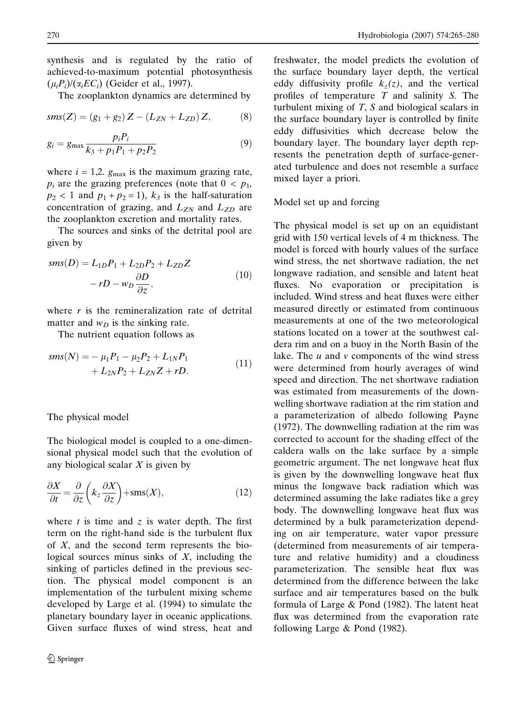synthesis and is regulated by the ratio of achieved-to-maximum potential photosynthesis  $(\mu_i P_i)/(\alpha_i EC_i)$  (Geider et al., 1997).

The zooplankton dynamics are determined by

$$
sms(Z) = (g_1 + g_2) Z - (L_{ZN} + L_{ZD}) Z, \tag{8}
$$

$$
g_i = g_{\text{max}} \frac{p_i P_i}{k_3 + p_1 P_1 + p_2 P_2} \tag{9}
$$

where  $i = 1,2$ .  $g_{\text{max}}$  is the maximum grazing rate,  $p_i$  are the grazing preferences (note that  $0 < p_1$ ,  $p_2 < 1$  and  $p_1 + p_2 = 1$ ,  $k_3$  is the half-saturation concentration of grazing, and  $L_{ZN}$  and  $L_{ZD}$  are the zooplankton excretion and mortality rates.

The sources and sinks of the detrital pool are given by

$$
sms(D) = L_{1D}P_1 + L_{2D}P_2 + L_{ZD}Z
$$

$$
-rD - w_D \frac{\partial D}{\partial z},
$$
(10)

where  $r$  is the remineralization rate of detrital matter and  $w_D$  is the sinking rate.

The nutrient equation follows as

$$
sms(N) = -\mu_1 P_1 - \mu_2 P_2 + L_{1N} P_1 + L_{2N} P_2 + L_{2N} Z + rD.
$$
\n(11)

## The physical model

The biological model is coupled to a one-dimensional physical model such that the evolution of any biological scalar  $X$  is given by

$$
\frac{\partial X}{\partial t} = \frac{\partial}{\partial z} \left( k_z \frac{\partial X}{\partial z} \right) + \text{sms}(X),\tag{12}
$$

where  $t$  is time and  $z$  is water depth. The first term on the right-hand side is the turbulent flux of  $X$ , and the second term represents the biological sources minus sinks of  $X$ , including the sinking of particles defined in the previous section. The physical model component is an implementation of the turbulent mixing scheme developed by Large et al. (1994) to simulate the planetary boundary layer in oceanic applications. Given surface fluxes of wind stress, heat and

freshwater, the model predicts the evolution of the surface boundary layer depth, the vertical eddy diffusivity profile  $k_z(z)$ , and the vertical profiles of temperature  $T$  and salinity  $S$ . The turbulent mixing of  $T$ ,  $S$  and biological scalars in the surface boundary layer is controlled by finite eddy diffusivities which decrease below the boundary layer. The boundary layer depth represents the penetration depth of surface-generated turbulence and does not resemble a surface mixed layer a priori.

#### Model set up and forcing

The physical model is set up on an equidistant grid with 150 vertical levels of 4 m thickness. The model is forced with hourly values of the surface wind stress, the net shortwave radiation, the net longwave radiation, and sensible and latent heat fluxes. No evaporation or precipitation is included. Wind stress and heat fluxes were either measured directly or estimated from continuous measurements at one of the two meteorological stations located on a tower at the southwest caldera rim and on a buoy in the North Basin of the lake. The  $u$  and  $v$  components of the wind stress were determined from hourly averages of wind speed and direction. The net shortwave radiation was estimated from measurements of the downwelling shortwave radiation at the rim station and a parameterization of albedo following Payne (1972). The downwelling radiation at the rim was corrected to account for the shading effect of the caldera walls on the lake surface by a simple geometric argument. The net longwave heat flux is given by the downwelling longwave heat flux minus the longwave back radiation which was determined assuming the lake radiates like a grey body. The downwelling longwave heat flux was determined by a bulk parameterization depending on air temperature, water vapor pressure (determined from measurements of air temperature and relative humidity) and a cloudiness parameterization. The sensible heat flux was determined from the difference between the lake surface and air temperatures based on the bulk formula of Large & Pond (1982). The latent heat flux was determined from the evaporation rate following Large & Pond (1982).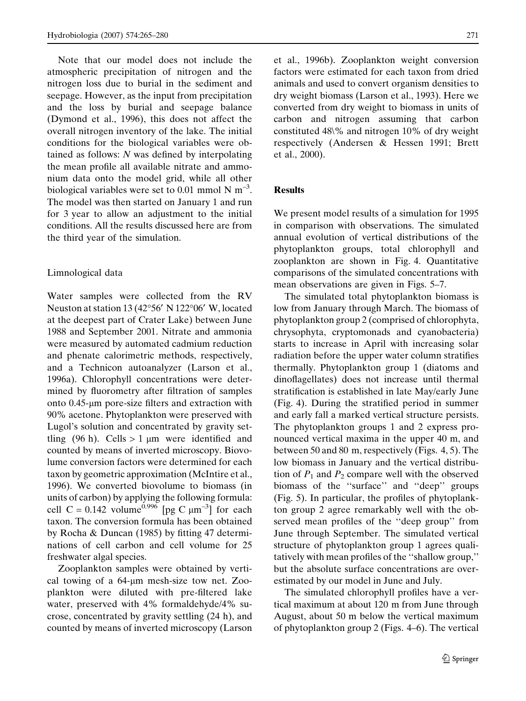Note that our model does not include the atmospheric precipitation of nitrogen and the nitrogen loss due to burial in the sediment and seepage. However, as the input from precipitation and the loss by burial and seepage balance (Dymond et al., 1996), this does not affect the overall nitrogen inventory of the lake. The initial conditions for the biological variables were obtained as follows:  $N$  was defined by interpolating the mean profile all available nitrate and ammonium data onto the model grid, while all other biological variables were set to 0.01 mmol N  $m^{-3}$ . The model was then started on January 1 and run for 3 year to allow an adjustment to the initial conditions. All the results discussed here are from the third year of the simulation.

#### Limnological data

Water samples were collected from the RV Neuston at station 13 (42°56′ N 122°06′ W, located at the deepest part of Crater Lake) between June 1988 and September 2001. Nitrate and ammonia were measured by automated cadmium reduction and phenate calorimetric methods, respectively, and a Technicon autoanalyzer (Larson et al., 1996a). Chlorophyll concentrations were determined by fluorometry after filtration of samples onto  $0.45$ -µm pore-size filters and extraction with 90% acetone. Phytoplankton were preserved with Lugol's solution and concentrated by gravity settling (96 h). Cells  $> 1 \mu m$  were identified and counted by means of inverted microscopy. Biovolume conversion factors were determined for each taxon by geometric approximation (McIntire et al., 1996). We converted biovolume to biomass (in units of carbon) by applying the following formula: cell C =  $0.142$  volume<sup> $0.996$ </sup> [pg C  $\mu$ m<sup>-3</sup>] for each taxon. The conversion formula has been obtained by Rocha & Duncan (1985) by fitting 47 determinations of cell carbon and cell volume for 25 freshwater algal species.

Zooplankton samples were obtained by vertical towing of a  $64$ -µm mesh-size tow net. Zooplankton were diluted with pre-filtered lake water, preserved with 4% formaldehyde/4% sucrose, concentrated by gravity settling (24 h), and counted by means of inverted microscopy (Larson et al., 1996b). Zooplankton weight conversion factors were estimated for each taxon from dried animals and used to convert organism densities to dry weight biomass (Larson et al., 1993). Here we converted from dry weight to biomass in units of carbon and nitrogen assuming that carbon constituted 48\% and nitrogen 10% of dry weight respectively (Andersen & Hessen 1991; Brett et al., 2000).

# **Results**

We present model results of a simulation for 1995 in comparison with observations. The simulated annual evolution of vertical distributions of the phytoplankton groups, total chlorophyll and zooplankton are shown in Fig. 4. Quantitative comparisons of the simulated concentrations with mean observations are given in Figs. 5–7.

The simulated total phytoplankton biomass is low from January through March. The biomass of phytoplankton group 2 (comprised of chlorophyta, chrysophyta, cryptomonads and cyanobacteria) starts to increase in April with increasing solar radiation before the upper water column stratifies thermally. Phytoplankton group 1 (diatoms and dinoflagellates) does not increase until thermal stratification is established in late May/early June (Fig. 4). During the stratified period in summer and early fall a marked vertical structure persists. The phytoplankton groups 1 and 2 express pronounced vertical maxima in the upper 40 m, and between 50 and 80 m, respectively (Figs. 4, 5). The low biomass in January and the vertical distribution of  $P_1$  and  $P_2$  compare well with the observed biomass of the ''surface'' and ''deep'' groups (Fig. 5). In particular, the profiles of phytoplankton group 2 agree remarkably well with the observed mean profiles of the ''deep group'' from June through September. The simulated vertical structure of phytoplankton group 1 agrees qualitatively with mean profiles of the ''shallow group,'' but the absolute surface concentrations are overestimated by our model in June and July.

The simulated chlorophyll profiles have a vertical maximum at about 120 m from June through August, about 50 m below the vertical maximum of phytoplankton group 2 (Figs. 4–6). The vertical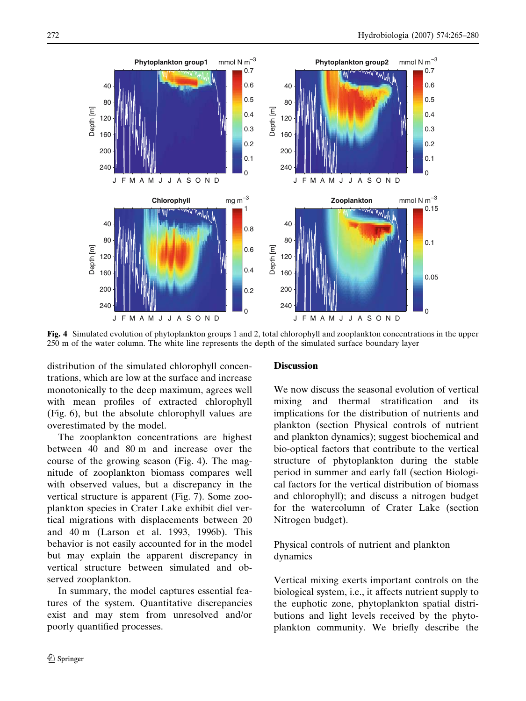

Fig. 4 Simulated evolution of phytoplankton groups 1 and 2, total chlorophyll and zooplankton concentrations in the upper 250 m of the water column. The white line represents the depth of the simulated surface boundary layer

distribution of the simulated chlorophyll concentrations, which are low at the surface and increase monotonically to the deep maximum, agrees well with mean profiles of extracted chlorophyll (Fig. 6), but the absolute chlorophyll values are overestimated by the model.

The zooplankton concentrations are highest between 40 and 80 m and increase over the course of the growing season (Fig. 4). The magnitude of zooplankton biomass compares well with observed values, but a discrepancy in the vertical structure is apparent (Fig. 7). Some zooplankton species in Crater Lake exhibit diel vertical migrations with displacements between 20 and 40 m (Larson et al. 1993, 1996b). This behavior is not easily accounted for in the model but may explain the apparent discrepancy in vertical structure between simulated and observed zooplankton.

In summary, the model captures essential features of the system. Quantitative discrepancies exist and may stem from unresolved and/or poorly quantified processes.

# **Discussion**

We now discuss the seasonal evolution of vertical mixing and thermal stratification and its implications for the distribution of nutrients and plankton (section Physical controls of nutrient and plankton dynamics); suggest biochemical and bio-optical factors that contribute to the vertical structure of phytoplankton during the stable period in summer and early fall (section Biological factors for the vertical distribution of biomass and chlorophyll); and discuss a nitrogen budget for the watercolumn of Crater Lake (section Nitrogen budget).

Physical controls of nutrient and plankton dynamics

Vertical mixing exerts important controls on the biological system, i.e., it affects nutrient supply to the euphotic zone, phytoplankton spatial distributions and light levels received by the phytoplankton community. We briefly describe the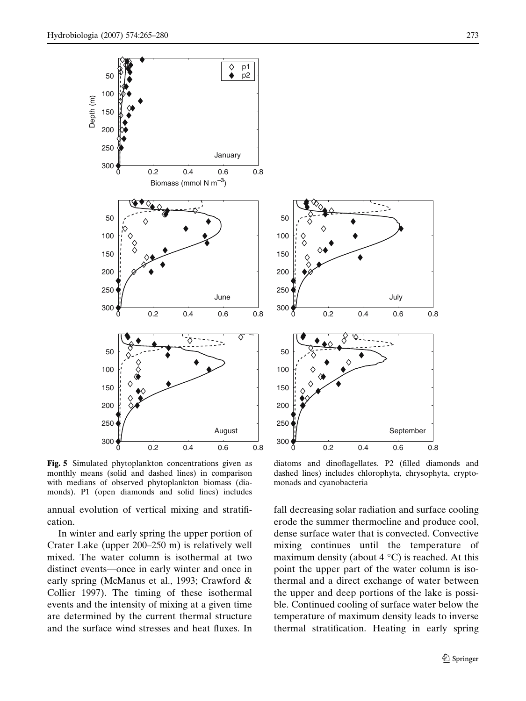



Fig. 5 Simulated phytoplankton concentrations given as monthly means (solid and dashed lines) in comparison with medians of observed phytoplankton biomass (diamonds). P1 (open diamonds and solid lines) includes

annual evolution of vertical mixing and stratification.

In winter and early spring the upper portion of Crater Lake (upper 200–250 m) is relatively well mixed. The water column is isothermal at two distinct events—once in early winter and once in early spring (McManus et al., 1993; Crawford & Collier 1997). The timing of these isothermal events and the intensity of mixing at a given time are determined by the current thermal structure and the surface wind stresses and heat fluxes. In

diatoms and dinoflagellates. P2 (filled diamonds and dashed lines) includes chlorophyta, chrysophyta, cryptomonads and cyanobacteria

fall decreasing solar radiation and surface cooling erode the summer thermocline and produce cool, dense surface water that is convected. Convective mixing continues until the temperature of maximum density (about  $4 °C$ ) is reached. At this point the upper part of the water column is isothermal and a direct exchange of water between the upper and deep portions of the lake is possible. Continued cooling of surface water below the temperature of maximum density leads to inverse thermal stratification. Heating in early spring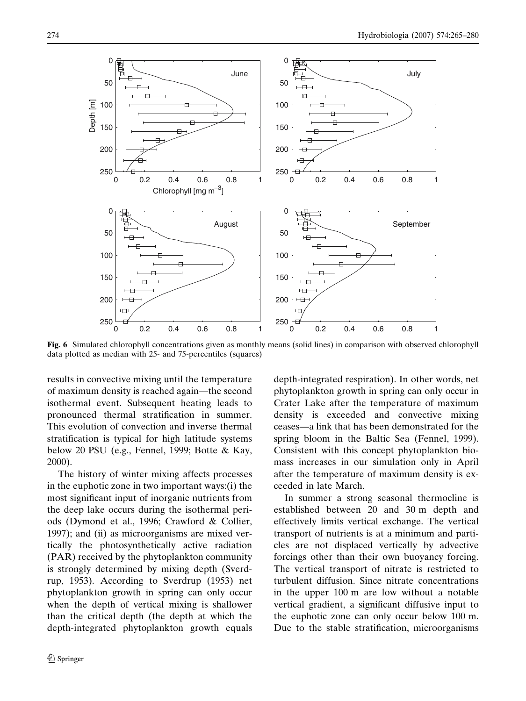

Fig. 6 Simulated chlorophyll concentrations given as monthly means (solid lines) in comparison with observed chlorophyll data plotted as median with 25- and 75-percentiles (squares)

results in convective mixing until the temperature of maximum density is reached again—the second isothermal event. Subsequent heating leads to pronounced thermal stratification in summer. This evolution of convection and inverse thermal stratification is typical for high latitude systems below 20 PSU (e.g., Fennel, 1999; Botte & Kay, 2000).

The history of winter mixing affects processes in the euphotic zone in two important ways:(i) the most significant input of inorganic nutrients from the deep lake occurs during the isothermal periods (Dymond et al., 1996; Crawford & Collier, 1997); and (ii) as microorganisms are mixed vertically the photosynthetically active radiation (PAR) received by the phytoplankton community is strongly determined by mixing depth (Sverdrup, 1953). According to Sverdrup (1953) net phytoplankton growth in spring can only occur when the depth of vertical mixing is shallower than the critical depth (the depth at which the depth-integrated phytoplankton growth equals depth-integrated respiration). In other words, net phytoplankton growth in spring can only occur in Crater Lake after the temperature of maximum density is exceeded and convective mixing ceases—a link that has been demonstrated for the spring bloom in the Baltic Sea (Fennel, 1999). Consistent with this concept phytoplankton biomass increases in our simulation only in April after the temperature of maximum density is exceeded in late March.

In summer a strong seasonal thermocline is established between 20 and 30 m depth and effectively limits vertical exchange. The vertical transport of nutrients is at a minimum and particles are not displaced vertically by advective forcings other than their own buoyancy forcing. The vertical transport of nitrate is restricted to turbulent diffusion. Since nitrate concentrations in the upper 100 m are low without a notable vertical gradient, a significant diffusive input to the euphotic zone can only occur below 100 m. Due to the stable stratification, microorganisms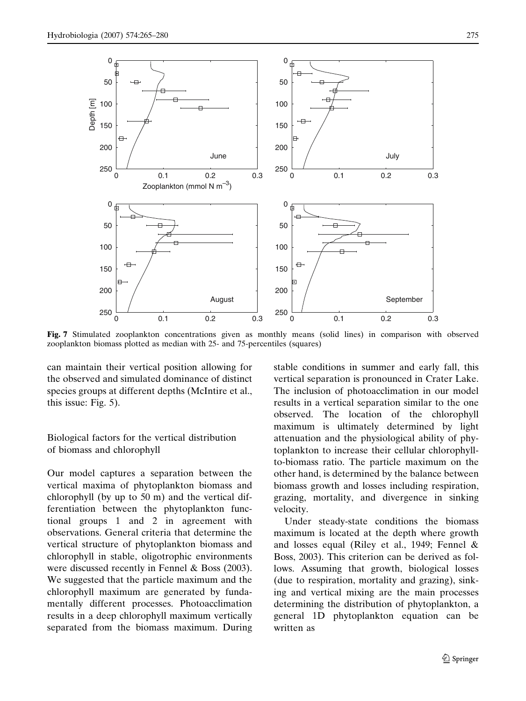

Fig. 7 Stimulated zooplankton concentrations given as monthly means (solid lines) in comparison with observed zooplankton biomass plotted as median with 25- and 75-percentiles (squares)

can maintain their vertical position allowing for the observed and simulated dominance of distinct species groups at different depths (McIntire et al., this issue: Fig. 5).

# Biological factors for the vertical distribution of biomass and chlorophyll

Our model captures a separation between the vertical maxima of phytoplankton biomass and chlorophyll (by up to 50 m) and the vertical differentiation between the phytoplankton functional groups 1 and 2 in agreement with observations. General criteria that determine the vertical structure of phytoplankton biomass and chlorophyll in stable, oligotrophic environments were discussed recently in Fennel & Boss (2003). We suggested that the particle maximum and the chlorophyll maximum are generated by fundamentally different processes. Photoacclimation results in a deep chlorophyll maximum vertically separated from the biomass maximum. During stable conditions in summer and early fall, this vertical separation is pronounced in Crater Lake. The inclusion of photoacclimation in our model results in a vertical separation similar to the one observed. The location of the chlorophyll maximum is ultimately determined by light attenuation and the physiological ability of phytoplankton to increase their cellular chlorophyllto-biomass ratio. The particle maximum on the other hand, is determined by the balance between biomass growth and losses including respiration, grazing, mortality, and divergence in sinking velocity.

Under steady-state conditions the biomass maximum is located at the depth where growth and losses equal (Riley et al., 1949; Fennel & Boss, 2003). This criterion can be derived as follows. Assuming that growth, biological losses (due to respiration, mortality and grazing), sinking and vertical mixing are the main processes determining the distribution of phytoplankton, a general 1D phytoplankton equation can be written as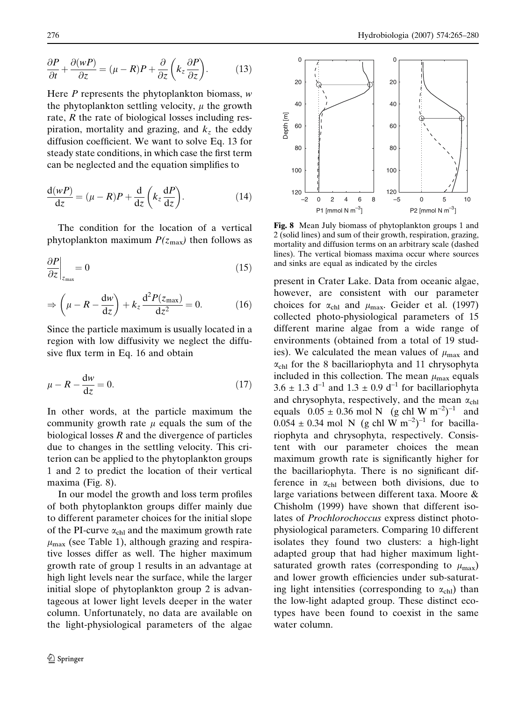$$
\frac{\partial P}{\partial t} + \frac{\partial (wP)}{\partial z} = (\mu - R)P + \frac{\partial}{\partial z} \left( k_z \frac{\partial P}{\partial z} \right).
$$
 (13)

Here  $P$  represents the phytoplankton biomass,  $w$ the phytoplankton settling velocity,  $\mu$  the growth rate, R the rate of biological losses including respiration, mortality and grazing, and  $k_z$  the eddy diffusion coefficient. We want to solve Eq. 13 for steady state conditions, in which case the first term can be neglected and the equation simplifies to

$$
\frac{d(wP)}{dz} = (\mu - R)P + \frac{d}{dz}\left(k_z \frac{dP}{dz}\right).
$$
 (14)

The condition for the location of a vertical phytoplankton maximum  $P(z_{\text{max}})$  then follows as

$$
\left. \frac{\partial P}{\partial z} \right|_{z_{\text{max}}} = 0 \tag{15}
$$

$$
\Rightarrow \left(\mu - R - \frac{\mathrm{d}w}{\mathrm{d}z}\right) + k_z \frac{\mathrm{d}^2 P(z_{\text{max}})}{\mathrm{d}z^2} = 0. \tag{16}
$$

Since the particle maximum is usually located in a region with low diffusivity we neglect the diffusive flux term in Eq. 16 and obtain

$$
\mu - R - \frac{\mathrm{d}w}{\mathrm{d}z} = 0. \tag{17}
$$

In other words, at the particle maximum the community growth rate  $\mu$  equals the sum of the biological losses  $R$  and the divergence of particles due to changes in the settling velocity. This criterion can be applied to the phytoplankton groups 1 and 2 to predict the location of their vertical maxima (Fig. 8).

In our model the growth and loss term profiles of both phytoplankton groups differ mainly due to different parameter choices for the initial slope of the PI-curve  $\alpha_{\text{chl}}$  and the maximum growth rate  $\mu_{\text{max}}$  (see Table 1), although grazing and respirative losses differ as well. The higher maximum growth rate of group 1 results in an advantage at high light levels near the surface, while the larger initial slope of phytoplankton group 2 is advantageous at lower light levels deeper in the water column. Unfortunately, no data are available on the light-physiological parameters of the algae



Fig. 8 Mean July biomass of phytoplankton groups 1 and 2 (solid lines) and sum of their growth, respiration, grazing, mortality and diffusion terms on an arbitrary scale (dashed lines). The vertical biomass maxima occur where sources and sinks are equal as indicated by the circles

present in Crater Lake. Data from oceanic algae, however, are consistent with our parameter choices for  $\alpha_{\text{ch1}}$  and  $\mu_{\text{max}}$ . Geider et al. (1997) collected photo-physiological parameters of 15 different marine algae from a wide range of environments (obtained from a total of 19 studies). We calculated the mean values of  $\mu_{\text{max}}$  and  $\alpha_{\text{chl}}$  for the 8 bacillariophyta and 11 chrysophyta included in this collection. The mean  $\mu_{\text{max}}$  equals  $3.6 \pm 1.3$  d<sup>-1</sup> and  $1.3 \pm 0.9$  d<sup>-1</sup> for bacillariophyta and chrysophyta, respectively, and the mean  $\alpha_{\text{ch}}$ equals  $0.05 \pm 0.36$  mol N (g chl W m<sup>-2</sup>)<sup>-1</sup> and  $0.054 \pm 0.34$  mol N (g chl W m<sup>-2</sup>)<sup>-1</sup> for bacillariophyta and chrysophyta, respectively. Consistent with our parameter choices the mean maximum growth rate is significantly higher for the bacillariophyta. There is no significant difference in  $\alpha_{\text{chl}}$  between both divisions, due to large variations between different taxa. Moore & Chisholm (1999) have shown that different isolates of Prochlorochoccus express distinct photophysiological parameters. Comparing 10 different isolates they found two clusters: a high-light adapted group that had higher maximum lightsaturated growth rates (corresponding to  $\mu_{\text{max}}$ ) and lower growth efficiencies under sub-saturating light intensities (corresponding to  $\alpha_{\text{ch}}$ ) than the low-light adapted group. These distinct ecotypes have been found to coexist in the same water column.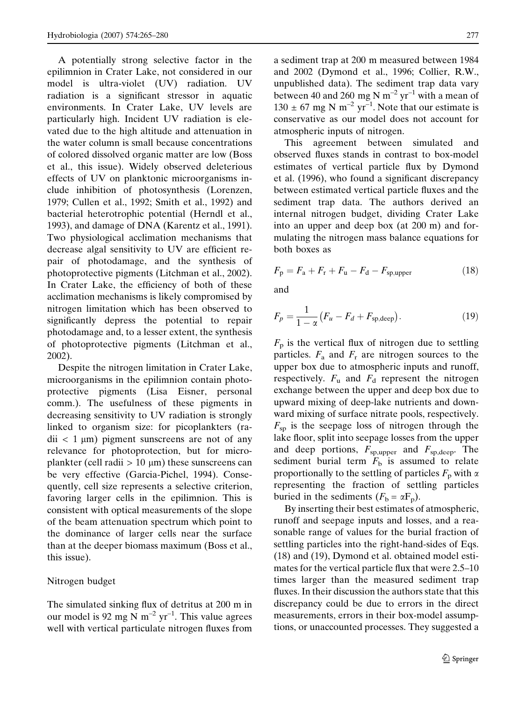A potentially strong selective factor in the epilimnion in Crater Lake, not considered in our model is ultra-violet (UV) radiation. UV radiation is a significant stressor in aquatic environments. In Crater Lake, UV levels are particularly high. Incident UV radiation is elevated due to the high altitude and attenuation in the water column is small because concentrations of colored dissolved organic matter are low (Boss et al., this issue). Widely observed deleterious effects of UV on planktonic microorganisms include inhibition of photosynthesis (Lorenzen, 1979; Cullen et al., 1992; Smith et al., 1992) and bacterial heterotrophic potential (Herndl et al., 1993), and damage of DNA (Karentz et al., 1991). Two physiological acclimation mechanisms that decrease algal sensitivity to UV are efficient repair of photodamage, and the synthesis of photoprotective pigments (Litchman et al., 2002). In Crater Lake, the efficiency of both of these acclimation mechanisms is likely compromised by nitrogen limitation which has been observed to significantly depress the potential to repair photodamage and, to a lesser extent, the synthesis of photoprotective pigments (Litchman et al., 2002).

Despite the nitrogen limitation in Crater Lake, microorganisms in the epilimnion contain photoprotective pigments (Lisa Eisner, personal comm.). The usefulness of these pigments in decreasing sensitivity to UV radiation is strongly linked to organism size: for picoplankters (ra- $\mathrm{d}i$   $\leq 1$   $\mu$ m) pigment sunscreens are not of any relevance for photoprotection, but for microplankter (cell radii  $> 10 \mu m$ ) these sunscreens can be very effective (Garcia-Pichel, 1994). Consequently, cell size represents a selective criterion, favoring larger cells in the epilimnion. This is consistent with optical measurements of the slope of the beam attenuation spectrum which point to the dominance of larger cells near the surface than at the deeper biomass maximum (Boss et al., this issue).

#### Nitrogen budget

The simulated sinking flux of detritus at 200 m in our model is 92 mg N  $m^{-2}$  yr<sup>-1</sup>. This value agrees well with vertical particulate nitrogen fluxes from a sediment trap at 200 m measured between 1984 and 2002 (Dymond et al., 1996; Collier, R.W., unpublished data). The sediment trap data vary between 40 and 260 mg N  $m^{-2}$  yr<sup>-1</sup> with a mean of  $130 \pm 67$  mg N m<sup>-2</sup> yr<sup>-1</sup>. Note that our estimate is conservative as our model does not account for atmospheric inputs of nitrogen.

This agreement between simulated and observed fluxes stands in contrast to box-model estimates of vertical particle flux by Dymond et al. (1996), who found a significant discrepancy between estimated vertical particle fluxes and the sediment trap data. The authors derived an internal nitrogen budget, dividing Crater Lake into an upper and deep box (at 200 m) and formulating the nitrogen mass balance equations for both boxes as

$$
F_{\rm p} = F_{\rm a} + F_{\rm r} + F_{\rm u} - F_{\rm d} - F_{\rm sp, upper}
$$
\n<sup>(18)</sup>

and

$$
F_p = \frac{1}{1 - \alpha} \left( F_u - F_d + F_{\text{sp,deep}} \right). \tag{19}
$$

 $F<sub>p</sub>$  is the vertical flux of nitrogen due to settling particles.  $F_a$  and  $F_r$  are nitrogen sources to the upper box due to atmospheric inputs and runoff, respectively.  $F_u$  and  $F_d$  represent the nitrogen exchange between the upper and deep box due to upward mixing of deep-lake nutrients and downward mixing of surface nitrate pools, respectively.  $F_{\rm SD}$  is the seepage loss of nitrogen through the lake floor, split into seepage losses from the upper and deep portions,  $F_{sp,upper}$  and  $F_{sp,deep}$ . The sediment burial term  $F<sub>b</sub>$  is assumed to relate proportionally to the settling of particles  $F_p$  with  $\alpha$ representing the fraction of settling particles buried in the sediments  $(F_b = \alpha F_p)$ .

By inserting their best estimates of atmospheric, runoff and seepage inputs and losses, and a reasonable range of values for the burial fraction of settling particles into the right-hand-sides of Eqs. (18) and (19), Dymond et al. obtained model estimates for the vertical particle flux that were 2.5–10 times larger than the measured sediment trap fluxes. In their discussion the authors state that this discrepancy could be due to errors in the direct measurements, errors in their box-model assumptions, or unaccounted processes. They suggested a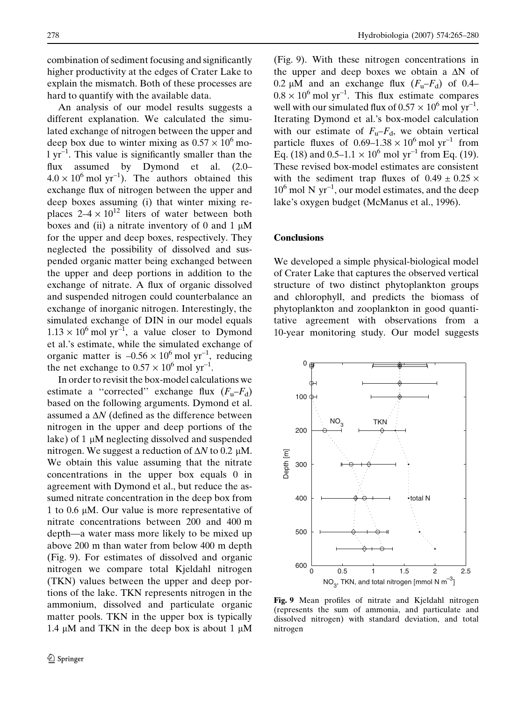combination of sediment focusing and significantly higher productivity at the edges of Crater Lake to explain the mismatch. Both of these processes are hard to quantify with the available data.

An analysis of our model results suggests a different explanation. We calculated the simulated exchange of nitrogen between the upper and deep box due to winter mixing as  $0.57 \times 10^6$  mo- $1 \text{ yr}^{-1}$ . This value is significantly smaller than the flux assumed by Dymond et al. (2.0–  $4.0 \times 10^{6}$  mol yr<sup>-1</sup>). The authors obtained this exchange flux of nitrogen between the upper and deep boxes assuming (i) that winter mixing replaces  $2-4 \times 10^{12}$  liters of water between both boxes and (ii) a nitrate inventory of 0 and 1  $\mu$ M for the upper and deep boxes, respectively. They neglected the possibility of dissolved and suspended organic matter being exchanged between the upper and deep portions in addition to the exchange of nitrate. A flux of organic dissolved and suspended nitrogen could counterbalance an exchange of inorganic nitrogen. Interestingly, the simulated exchange of DIN in our model equals  $1.13 \times 10^6$  mol yr<sup>-1</sup>, a value closer to Dymond et al.'s estimate, while the simulated exchange of organic matter is  $-0.56 \times 10^6$  mol yr<sup>-1</sup>, reducing the net exchange to  $0.57 \times 10^6$  mol yr<sup>-1</sup>.

In order to revisit the box-model calculations we estimate a "corrected" exchange flux  $(F_u-F_d)$ based on the following arguments. Dymond et al. assumed a  $\Delta N$  (defined as the difference between nitrogen in the upper and deep portions of the lake) of 1  $\mu$ M neglecting dissolved and suspended nitrogen. We suggest a reduction of  $\Delta N$  to 0.2 µM. We obtain this value assuming that the nitrate concentrations in the upper box equals 0 in agreement with Dymond et al., but reduce the assumed nitrate concentration in the deep box from 1 to 0.6  $\mu$ M. Our value is more representative of nitrate concentrations between 200 and 400 m depth—a water mass more likely to be mixed up above 200 m than water from below 400 m depth (Fig. 9). For estimates of dissolved and organic nitrogen we compare total Kjeldahl nitrogen (TKN) values between the upper and deep portions of the lake. TKN represents nitrogen in the ammonium, dissolved and particulate organic matter pools. TKN in the upper box is typically 1.4  $\mu$ M and TKN in the deep box is about 1  $\mu$ M

(Fig. 9). With these nitrogen concentrations in the upper and deep boxes we obtain a  $\Delta N$  of 0.2  $\mu$ M and an exchange flux  $(F_u-F_d)$  of 0.4–  $0.8 \times 10^6$  mol yr<sup>-1</sup>. This flux estimate compares well with our simulated flux of  $0.57 \times 10^6$  mol yr<sup>-1</sup>. Iterating Dymond et al.'s box-model calculation with our estimate of  $F_u-F_d$ , we obtain vertical particle fluxes of  $0.69-1.38 \times 10^6$  mol yr<sup>-1</sup> from Eq. (18) and 0.5–1.1  $\times$  10<sup>6</sup> mol yr<sup>-1</sup> from Eq. (19). These revised box-model estimates are consistent with the sediment trap fluxes of  $0.49 \pm 0.25 \times$  $10^6$  mol N yr<sup>-1</sup>, our model estimates, and the deep lake's oxygen budget (McManus et al., 1996).

# **Conclusions**

We developed a simple physical-biological model of Crater Lake that captures the observed vertical structure of two distinct phytoplankton groups and chlorophyll, and predicts the biomass of phytoplankton and zooplankton in good quantitative agreement with observations from a 10-year monitoring study. Our model suggests



Fig. 9 Mean profiles of nitrate and Kjeldahl nitrogen (represents the sum of ammonia, and particulate and dissolved nitrogen) with standard deviation, and total nitrogen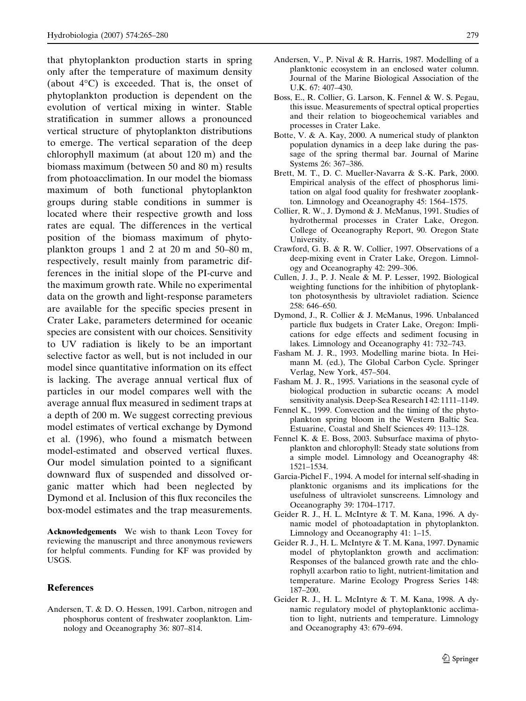that phytoplankton production starts in spring only after the temperature of maximum density (about  $4^{\circ}$ C) is exceeded. That is, the onset of phytoplankton production is dependent on the evolution of vertical mixing in winter. Stable stratification in summer allows a pronounced vertical structure of phytoplankton distributions to emerge. The vertical separation of the deep chlorophyll maximum (at about 120 m) and the biomass maximum (between 50 and 80 m) results from photoacclimation. In our model the biomass maximum of both functional phytoplankton groups during stable conditions in summer is located where their respective growth and loss rates are equal. The differences in the vertical position of the biomass maximum of phytoplankton groups 1 and 2 at 20 m and 50–80 m, respectively, result mainly from parametric differences in the initial slope of the PI-curve and the maximum growth rate. While no experimental data on the growth and light-response parameters are available for the specific species present in Crater Lake, parameters determined for oceanic species are consistent with our choices. Sensitivity to UV radiation is likely to be an important selective factor as well, but is not included in our model since quantitative information on its effect is lacking. The average annual vertical flux of particles in our model compares well with the average annual flux measured in sediment traps at a depth of 200 m. We suggest correcting previous model estimates of vertical exchange by Dymond et al. (1996), who found a mismatch between model-estimated and observed vertical fluxes. Our model simulation pointed to a significant downward flux of suspended and dissolved organic matter which had been neglected by Dymond et al. Inclusion of this flux reconciles the box-model estimates and the trap measurements.

Acknowledgements We wish to thank Leon Tovey for reviewing the manuscript and three anonymous reviewers for helpful comments. Funding for KF was provided by USGS.

# References

Andersen, T. & D. O. Hessen, 1991. Carbon, nitrogen and phosphorus content of freshwater zooplankton. Limnology and Oceanography 36: 807–814.

- Andersen, V., P. Nival & R. Harris, 1987. Modelling of a planktonic ecosystem in an enclosed water column. Journal of the Marine Biological Association of the U.K. 67: 407–430.
- Boss, E., R. Collier, G. Larson, K. Fennel & W. S. Pegau, this issue. Measurements of spectral optical properties and their relation to biogeochemical variables and processes in Crater Lake.
- Botte, V. & A. Kay, 2000. A numerical study of plankton population dynamics in a deep lake during the passage of the spring thermal bar. Journal of Marine Systems 26: 367–386.
- Brett, M. T., D. C. Mueller-Navarra & S.-K. Park, 2000. Empirical analysis of the effect of phosphorus limitation on algal food quality for freshwater zooplankton. Limnology and Oceanography 45: 1564–1575.
- Collier, R. W., J. Dymond & J. McManus, 1991. Studies of hydrothermal processes in Crater Lake, Oregon. College of Oceanography Report, 90. Oregon State University.
- Crawford, G. B. & R. W. Collier, 1997. Observations of a deep-mixing event in Crater Lake, Oregon. Limnology and Oceanography 42: 299–306.
- Cullen, J. J., P. J. Neale & M. P. Lesser, 1992. Biological weighting functions for the inhibition of phytoplankton photosynthesis by ultraviolet radiation. Science 258: 646–650.
- Dymond, J., R. Collier & J. McManus, 1996. Unbalanced particle flux budgets in Crater Lake, Oregon: Implications for edge effects and sediment focusing in lakes. Limnology and Oceanography 41: 732–743.
- Fasham M. J. R., 1993. Modelling marine biota. In Heimann M. (ed.), The Global Carbon Cycle. Springer Verlag, New York, 457–504.
- Fasham M. J. R., 1995. Variations in the seasonal cycle of biological production in subarctic oceans: A model sensitivity analysis. Deep-Sea Research I 42: 1111–1149.
- Fennel K., 1999. Convection and the timing of the phytoplankton spring bloom in the Western Baltic Sea. Estuarine, Coastal and Shelf Sciences 49: 113–128.
- Fennel K. & E. Boss, 2003. Subsurface maxima of phytoplankton and chlorophyll: Steady state solutions from a simple model. Limnology and Oceanography 48: 1521–1534.
- Garcia-Pichel F., 1994. A model for internal self-shading in planktonic organisms and its implications for the usefulness of ultraviolet sunscreens. Limnology and Oceanography 39: 1704–1717.
- Geider R. J., H. L. McIntyre & T. M. Kana, 1996. A dynamic model of photoadaptation in phytoplankton. Limnology and Oceanography 41: 1–15.
- Geider R. J., H. L. McIntyre & T. M. Kana, 1997. Dynamic model of phytoplankton growth and acclimation: Responses of the balanced growth rate and the chlorophyll a:carbon ratio to light, nutrient-limitation and temperature. Marine Ecology Progress Series 148: 187–200.
- Geider R. J., H. L. McIntyre & T. M. Kana, 1998. A dynamic regulatory model of phytoplanktonic acclimation to light, nutrients and temperature. Limnology and Oceanography 43: 679–694.